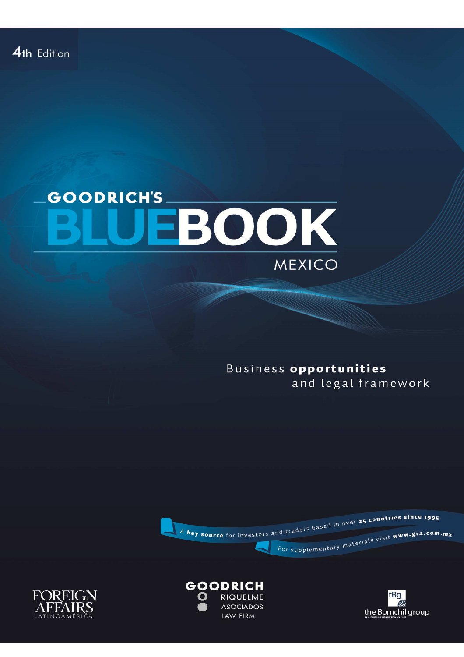## **GOODRICH'S** EBOOK MEXICO

Business opportunities and legal framework







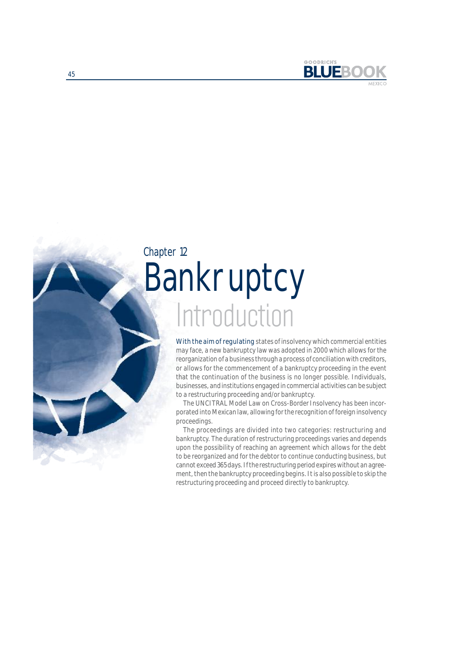

# **Introduction** Bankruptcy Chapter 12

With the aim of regulating states of insolvency which commercial entities may face, a new bankruptcy law was adopted in 2000 which allows for the reorganization of a business through a process of conciliation with creditors, or allows for the commencement of a bankruptcy proceeding in the event that the continuation of the business is no longer possible. Individuals, businesses, and institutions engaged in commercial activities can be subject to a restructuring proceeding and/or bankruptcy.

The UNCITRAL Model Law on Cross-Border Insolvency has been incorporated into Mexican law, allowing for the recognition of foreign insolvency proceedings.

The proceedings are divided into two categories: restructuring and bankruptcy. The duration of restructuring proceedings varies and depends upon the possibility of reaching an agreement which allows for the debt to be reorganized and for the debtor to continue conducting business, but cannot exceed 365 days. If the restructuring period expires without an agreement, then the bankruptcy proceeding begins. It is also possible to skip the restructuring proceeding and proceed directly to bankruptcy.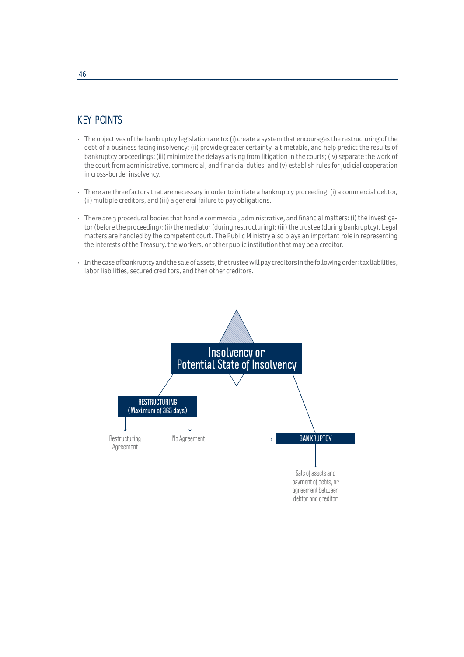## KEY POINTS

- The objectives of the bankruptcy legislation are to: (i) create a system that encourages the restructuring of the debt of a business facing insolvency; (ii) provide greater certainty, a timetable, and help predict the results of bankruptcy proceedings; (iii) minimize the delays arising from litigation in the courts; (iv) separate the work of the court from administrative, commercial, and financial duties; and (v) establish rules for judicial cooperation in cross-border insolvency.
- There are three factors that are necessary in order to initiate a bankruptcy proceeding: (i) a commercial debtor, (ii) multiple creditors, and (iii) a general failure to pay obligations.
- There are 3 procedural bodies that handle commercial, administrative, and financial matters: (i) the investigator (before the proceeding); (ii) the mediator (during restructuring); (iii) the trustee (during bankruptcy). Legal matters are handled by the competent court. The Public Ministry also plays an important role in representing the interests of the Treasury, the workers, or other public institution that may be a creditor.
- In the case of bankruptcy and the sale of assets, the trustee will pay creditors in the following order: tax liabilities, labor liabilities, secured creditors, and then other creditors.

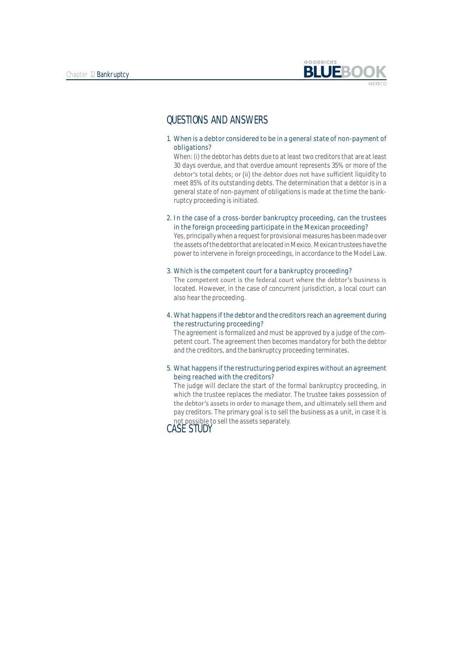

### QUESTIONS AND ANSWERS

1. When is a debtor considered to be in a general state of non-payment of obligations?

When: (i) the debtor has debts due to at least two creditors that are at least 30 days overdue, and that overdue amount represents 35% or more of the debtor's total debts; or (ii) the debtor does not have sufficient liquidity to meet 85% of its outstanding debts. The determination that a debtor is in a general state of non-payment of obligations is made at the time the bankruptcy proceeding is initiated.

2. In the case of a cross-border bankruptcy proceeding, can the trustees in the foreign proceeding participate in the Mexican proceeding?

Yes, principally when a request for provisional measures has been made over the assets of the debtor that are located in Mexico. Mexican trustees have the power to intervene in foreign proceedings, in accordance to the Model Law.

#### 3. Which is the competent court for a bankruptcy proceeding?

The competent court is the federal court where the debtor's business is located. However, in the case of concurrent jurisdiction, a local court can also hear the proceeding.

#### 4. What happens if the debtor and the creditors reach an agreement during the restructuring proceeding?

The agreement is formalized and must be approved by a judge of the competent court. The agreement then becomes mandatory for both the debtor and the creditors, and the bankruptcy proceeding terminates.

#### 5. What happens if the restructuring period expires without an agreement being reached with the creditors?

The judge will declare the start of the formal bankruptcy proceeding, in which the trustee replaces the mediator. The trustee takes possession of the debtor's assets in order to manage them, and ultimately sell them and pay creditors. The primary goal is to sell the business as a unit, in case it is not possible to sell the assets separately.